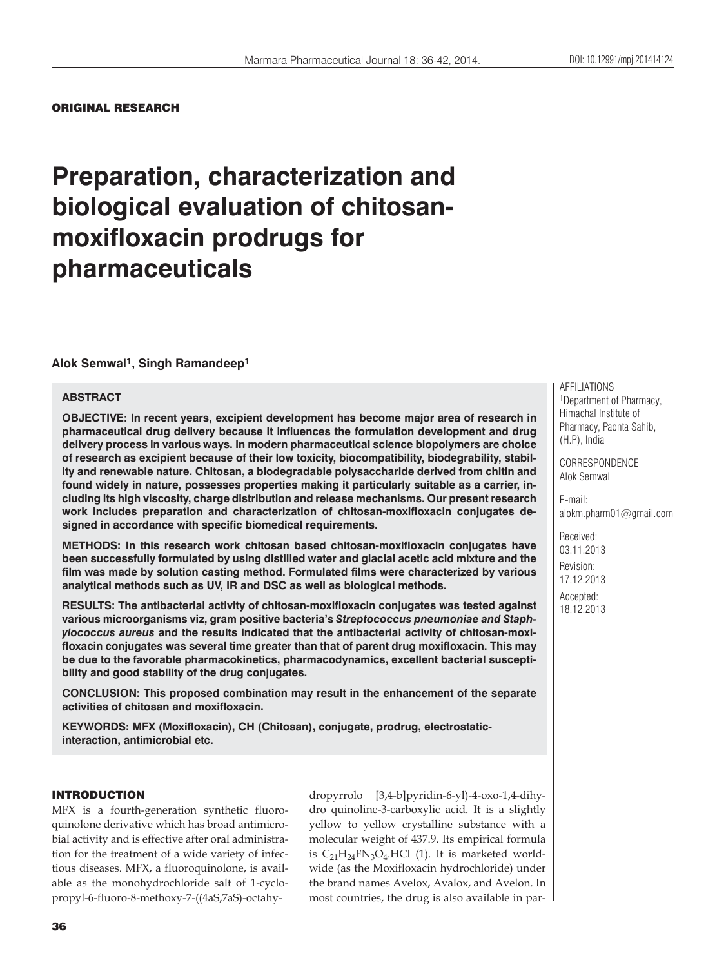#### ORIGINAL RESEARCH

# **Preparation, characterization and biological evaluation of chitosanmoxifloxacin prodrugs for pharmaceuticals**

## **Alok Semwal1, Singh Ramandeep1**

## **ABSTRACT**

**OBJECTIVE: In recent years, excipient development has become major area of research in pharmaceutical drug delivery because it influences the formulation development and drug delivery process in various ways. In modern pharmaceutical science biopolymers are choice of research as excipient because of their low toxicity, biocompatibility, biodegrability, stability and renewable nature. Chitosan, a biodegradable polysaccharide derived from chitin and found widely in nature, possesses properties making it particularly suitable as a carrier, including its high viscosity, charge distribution and release mechanisms. Our present research work includes preparation and characterization of chitosan-moxifloxacin conjugates designed in accordance with specific biomedical requirements.** 

**METHODS: In this research work chitosan based chitosan-moxifloxacin conjugates have been successfully formulated by using distilled water and glacial acetic acid mixture and the film was made by solution casting method. Formulated films were characterized by various analytical methods such as UV, IR and DSC as well as biological methods.** 

**RESULTS: The antibacterial activity of chitosan-moxifloxacin conjugates was tested against various microorganisms viz, gram positive bacteria's** *Streptococcus pneumoniae and Staphylococcus aureus* **and the results indicated that the antibacterial activity of chitosan-moxifloxacin conjugates was several time greater than that of parent drug moxifloxacin. This may be due to the favorable pharmacokinetics, pharmacodynamics, excellent bacterial susceptibility and good stability of the drug conjugates.** 

**CONCLUSION: This proposed combination may result in the enhancement of the separate activities of chitosan and moxifloxacin.**

**KEYWORDS: MFX (Moxifloxacin), CH (Chitosan), conjugate, prodrug, electrostaticinteraction, antimicrobial etc.**

# INTRODUCTION

MFX is a fourth-generation synthetic fluoroquinolone derivative which has broad antimicrobial activity and is effective after oral administration for the treatment of a wide variety of infectious diseases. MFX, a fluoroquinolone, is available as the monohydrochloride salt of 1-cyclopropyl-6-fluoro-8-methoxy-7-((4aS,7aS)-octahydropyrrolo [3,4-b]pyridin-6-yl)-4-oxo-1,4-dihydro quinoline-3-carboxylic acid. It is a slightly yellow to yellow crystalline substance with a molecular weight of 437.9. Its empirical formula is  $C_{21}H_{24}FN_{3}O_{4}$ .HCl (1). It is marketed worldwide (as the Moxifloxacin hydrochloride) under the brand names Avelox, Avalox, and Avelon. In most countries, the drug is also available in par-

AFFILIATIONS 1Department of Pharmacy, Himachal Institute of Pharmacy, Paonta Sahib, (H.P), India

CORRESPONDENCE Alok Semwal

E-mail: alokm.pharm01@gmail.com

Received: 03.11.2013 Revision: 17.12.2013 Accepted: 18.12.2013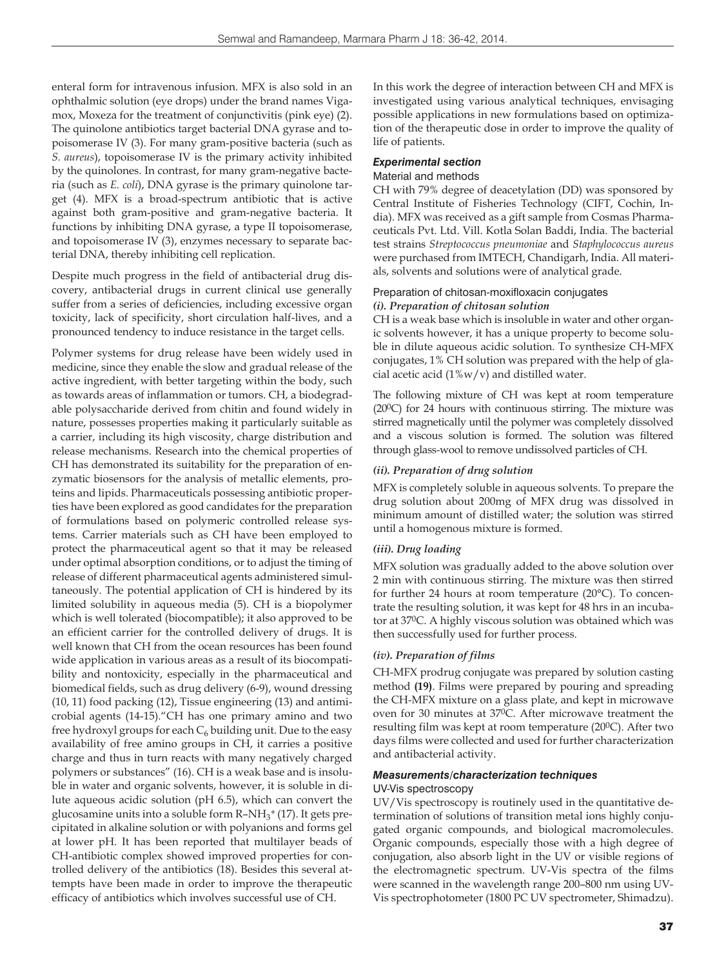enteral form for intravenous infusion. MFX is also sold in an ophthalmic solution (eye drops) under the brand names Vigamox, Moxeza for the treatment of conjunctivitis (pink eye) (2). The quinolone antibiotics target bacterial DNA gyrase and topoisomerase IV (3). For many gram-positive bacteria (such as *S. aureus*), topoisomerase IV is the primary activity inhibited by the quinolones. In contrast, for many gram-negative bacteria (such as *E. coli*), DNA gyrase is the primary quinolone target (4). MFX is a broad-spectrum antibiotic that is active against both gram-positive and gram-negative bacteria. It functions by inhibiting DNA gyrase, a type II topoisomerase, and topoisomerase IV (3), enzymes necessary to separate bacterial DNA, thereby inhibiting cell replication.

Despite much progress in the field of antibacterial drug discovery, antibacterial drugs in current clinical use generally suffer from a series of deficiencies, including excessive organ toxicity, lack of specificity, short circulation half-lives, and a pronounced tendency to induce resistance in the target cells.

Polymer systems for drug release have been widely used in medicine, since they enable the slow and gradual release of the active ingredient, with better targeting within the body, such as towards areas of inflammation or tumors. CH, a biodegradable polysaccharide derived from chitin and found widely in nature, possesses properties making it particularly suitable as a carrier, including its high viscosity, charge distribution and release mechanisms. Research into the chemical properties of CH has demonstrated its suitability for the preparation of enzymatic biosensors for the analysis of metallic elements, proteins and lipids. Pharmaceuticals possessing antibiotic properties have been explored as good candidates for the preparation of formulations based on polymeric controlled release systems. Carrier materials such as CH have been employed to protect the pharmaceutical agent so that it may be released under optimal absorption conditions, or to adjust the timing of release of different pharmaceutical agents administered simultaneously. The potential application of CH is hindered by its limited solubility in aqueous media (5). CH is a biopolymer which is well tolerated (biocompatible); it also approved to be an efficient carrier for the controlled delivery of drugs. It is well known that CH from the ocean resources has been found wide application in various areas as a result of its biocompatibility and nontoxicity, especially in the pharmaceutical and biomedical fields, such as drug delivery (6-9), wound dressing (10, 11) food packing (12), Tissue engineering (13) and antimicrobial agents (14-15)."CH has one primary amino and two free hydroxyl groups for each  $C_6$  building unit. Due to the easy availability of free amino groups in CH, it carries a positive charge and thus in turn reacts with many negatively charged polymers or substances" (16). CH is a weak base and is insoluble in water and organic solvents, however, it is soluble in dilute aqueous acidic solution (pH 6.5), which can convert the glucosamine units into a soluble form  $R-NH_3^+(17)$ . It gets precipitated in alkaline solution or with polyanions and forms gel at lower pH. It has been reported that multilayer beads of CH-antibiotic complex showed improved properties for controlled delivery of the antibiotics (18). Besides this several attempts have been made in order to improve the therapeutic efficacy of antibiotics which involves successful use of CH.

In this work the degree of interaction between CH and MFX is investigated using various analytical techniques, envisaging possible applications in new formulations based on optimization of the therapeutic dose in order to improve the quality of life of patients.

# *Experimental section*

## Material and methods

CH with 79% degree of deacetylation (DD) was sponsored by Central Institute of Fisheries Technology (CIFT, Cochin, India). MFX was received as a gift sample from Cosmas Pharmaceuticals Pvt. Ltd. Vill. Kotla Solan Baddi, India. The bacterial test strains *Streptococcus pneumoniae* and *Staphylococcus aureus* were purchased from IMTECH, Chandigarh, India. All materials, solvents and solutions were of analytical grade.

## Preparation of chitosan-moxifloxacin conjugates *(i). Preparation of chitosan solution*

CH is a weak base which is insoluble in water and other organic solvents however, it has a unique property to become soluble in dilute aqueous acidic solution. To synthesize CH-MFX conjugates, 1% CH solution was prepared with the help of glacial acetic acid  $(1\%w/v)$  and distilled water.

The following mixture of CH was kept at room temperature (200C) for 24 hours with continuous stirring. The mixture was stirred magnetically until the polymer was completely dissolved and a viscous solution is formed. The solution was filtered through glass-wool to remove undissolved particles of CH.

## *(ii). Preparation of drug solution*

MFX is completely soluble in aqueous solvents. To prepare the drug solution about 200mg of MFX drug was dissolved in minimum amount of distilled water; the solution was stirred until a homogenous mixture is formed.

#### *(iii). Drug loading*

MFX solution was gradually added to the above solution over 2 min with continuous stirring. The mixture was then stirred for further 24 hours at room temperature (20°C). To concentrate the resulting solution, it was kept for 48 hrs in an incubator at 370C. A highly viscous solution was obtained which was then successfully used for further process.

## *(iv). Preparation of films*

CH-MFX prodrug conjugate was prepared by solution casting method **(19)**. Films were prepared by pouring and spreading the CH-MFX mixture on a glass plate, and kept in microwave oven for 30 minutes at 370C. After microwave treatment the resulting film was kept at room temperature (200C). After two days films were collected and used for further characterization and antibacterial activity.

## *Measurements/characterization techniques* UV-Vis spectroscopy

UV/Vis spectroscopy is routinely used in the quantitative determination of solutions of transition metal ions highly conjugated organic compounds, and biological macromolecules. Organic compounds, especially those with a high degree of conjugation, also absorb light in the UV or visible regions of the electromagnetic spectrum. UV-Vis spectra of the films were scanned in the wavelength range 200–800 nm using UV-Vis spectrophotometer (1800 PC UV spectrometer, Shimadzu).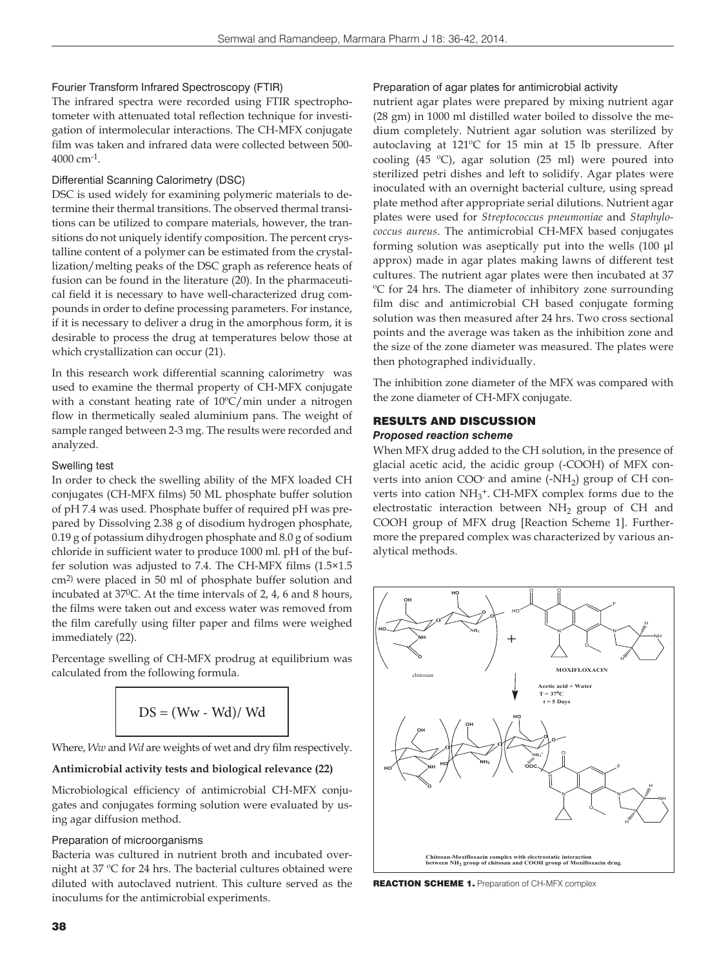## Fourier Transform Infrared Spectroscopy (FTIR)

The infrared spectra were recorded using FTIR spectrophotometer with attenuated total reflection technique for investigation of intermolecular interactions. The CH-MFX conjugate film was taken and infrared data were collected between 500- 4000 cm-1.

# Differential Scanning Calorimetry (DSC)

DSC is used widely for examining polymeric materials to determine their thermal transitions. The observed thermal transitions can be utilized to compare materials, however, the transitions do not uniquely identify composition. The percent crystalline content of a polymer can be estimated from the crystallization/melting peaks of the DSC graph as reference heats of fusion can be found in the literature (20). In the pharmaceutical field it is necessary to have well-characterized drug compounds in order to define processing parameters. For instance, if it is necessary to deliver a drug in the amorphous form, it is desirable to process the drug at temperatures below those at which crystallization can occur (21).

In this research work differential scanning calorimetry was used to examine the thermal property of CH-MFX conjugate with a constant heating rate of 10°C/min under a nitrogen flow in thermetically sealed aluminium pans. The weight of sample ranged between 2-3 mg. The results were recorded and analyzed.

# Swelling test

In order to check the swelling ability of the MFX loaded CH conjugates (CH-MFX films) 50 ML phosphate buffer solution of pH 7.4 was used. Phosphate buffer of required pH was prepared by Dissolving 2.38 g of disodium hydrogen phosphate, 0.19 g of potassium dihydrogen phosphate and 8.0 g of sodium chloride in sufficient water to produce 1000 ml. pH of the buffer solution was adjusted to 7.4. The CH-MFX films (1.5×1.5 cm2) were placed in 50 ml of phosphate buffer solution and incubated at 370C. At the time intervals of 2, 4, 6 and 8 hours, the films were taken out and excess water was removed from the film carefully using filter paper and films were weighed immediately (22).

Percentage swelling of CH-MFX prodrug at equilibrium was calculated from the following formula.

$$
DS = (Ww - Wd) / Wd
$$

Where, *Ww* and *Wd* are weights of wet and dry film respectively.

# **Antimicrobial activity tests and biological relevance (22)**

Microbiological efficiency of antimicrobial CH-MFX conjugates and conjugates forming solution were evaluated by using agar diffusion method.

## Preparation of microorganisms

Bacteria was cultured in nutrient broth and incubated overnight at 37 ºC for 24 hrs. The bacterial cultures obtained were diluted with autoclaved nutrient. This culture served as the inoculums for the antimicrobial experiments.

## Preparation of agar plates for antimicrobial activity

nutrient agar plates were prepared by mixing nutrient agar (28 gm) in 1000 ml distilled water boiled to dissolve the medium completely. Nutrient agar solution was sterilized by autoclaving at 121ºC for 15 min at 15 lb pressure. After cooling (45 ºC), agar solution (25 ml) were poured into sterilized petri dishes and left to solidify. Agar plates were inoculated with an overnight bacterial culture, using spread plate method after appropriate serial dilutions. Nutrient agar plates were used for *Streptococcus pneumoniae* and *Staphylococcus aureus*. The antimicrobial CH-MFX based conjugates forming solution was aseptically put into the wells (100 μl approx) made in agar plates making lawns of different test cultures. The nutrient agar plates were then incubated at 37 ºC for 24 hrs. The diameter of inhibitory zone surrounding film disc and antimicrobial CH based conjugate forming solution was then measured after 24 hrs. Two cross sectional points and the average was taken as the inhibition zone and the size of the zone diameter was measured. The plates were then photographed individually.

The inhibition zone diameter of the MFX was compared with the zone diameter of CH-MFX conjugate.

## RESULTS AND DISCUSSION *Proposed reaction scheme*

When MFX drug added to the CH solution, in the presence of glacial acetic acid, the acidic group (-COOH) of MFX converts into anion COO $\cdot$  and amine  $(-NH<sub>2</sub>)$  group of CH converts into cation NH<sub>3</sub><sup>+</sup>. CH-MFX complex forms due to the electrostatic interaction between NH<sub>2</sub> group of CH and COOH group of MFX drug [Reaction Scheme 1]. Furthermore the prepared complex was characterized by various analytical methods.



REACTION SCHEME 1. Preparation of CH-MFX complex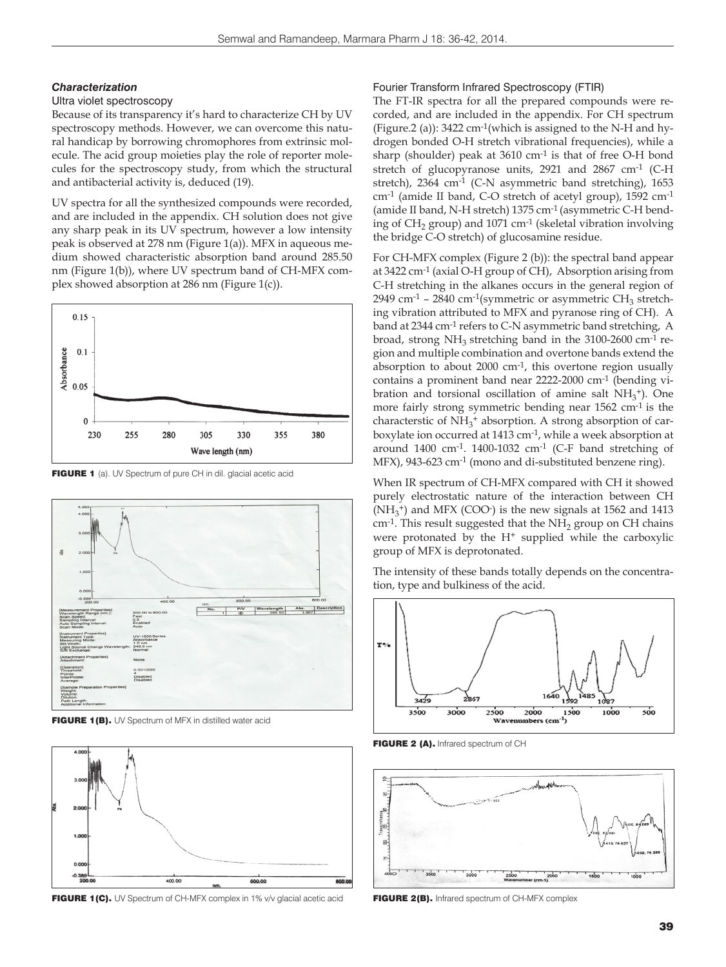## *Characterization*

## Ultra violet spectroscopy

Because of its transparency it's hard to characterize CH by UV spectroscopy methods. However, we can overcome this natural handicap by borrowing chromophores from extrinsic molecule. The acid group moieties play the role of reporter molecules for the spectroscopy study, from which the structural and antibacterial activity is, deduced (19).

UV spectra for all the synthesized compounds were recorded, and are included in the appendix. CH solution does not give any sharp peak in its UV spectrum, however a low intensity peak is observed at 278 nm (Figure 1(a)). MFX in aqueous medium showed characteristic absorption band around 285.50 nm (Figure 1(b)), where UV spectrum band of CH-MFX complex showed absorption at 286 nm (Figure 1(c)).



FIGURE 1 (a). UV Spectrum of pure CH in dil. glacial acetic acid



FIGURE 1(B). UV Spectrum of MFX in distilled water acid



FIGURE 1(C). UV Spectrum of CH-MFX complex in 1% v/v glacial acetic acid

## Fourier Transform Infrared Spectroscopy (FTIR)

The FT-IR spectra for all the prepared compounds were recorded, and are included in the appendix. For CH spectrum (Figure.2 (a)):  $3422 \text{ cm}^{-1}$  (which is assigned to the N-H and hydrogen bonded O-H stretch vibrational frequencies), while a sharp (shoulder) peak at 3610 cm-1 is that of free O-H bond stretch of glucopyranose units,  $2921$  and  $2867$  cm<sup>-1</sup> (C-H stretch), 2364 cm<sup>-1</sup> (C-N asymmetric band stretching), 1653 cm-1 (amide II band, C-O stretch of acetyl group), 1592 cm-1 (amide II band, N-H stretch) 1375 cm-1 (asymmetric C-H bending of CH<sub>2</sub> group) and 1071 cm<sup>-1</sup> (skeletal vibration involving the bridge C-O stretch) of glucosamine residue.

For CH-MFX complex (Figure 2 (b)): the spectral band appear at 3422 cm-1 (axial O-H group of CH), Absorption arising from C-H stretching in the alkanes occurs in the general region of 2949 cm<sup>-1</sup> – 2840 cm<sup>-1</sup>(symmetric or asymmetric CH<sub>3</sub> stretching vibration attributed to MFX and pyranose ring of CH). A band at 2344 cm-1 refers to C-N asymmetric band stretching, A broad, strong  $NH_3$  stretching band in the 3100-2600 cm<sup>-1</sup> region and multiple combination and overtone bands extend the absorption to about 2000 cm-1, this overtone region usually contains a prominent band near 2222-2000 cm-1 (bending vibration and torsional oscillation of amine salt  $NH<sub>3</sub><sup>+</sup>$ ). One more fairly strong symmetric bending near 1562 cm-1 is the characterstic of NH<sub>3</sub><sup>+</sup> absorption. A strong absorption of carboxylate ion occurred at 1413 cm-1, while a week absorption at around  $1400 \text{ cm}^{-1}$ .  $1400 - 1032 \text{ cm}^{-1}$  (C-F band stretching of MFX), 943-623 cm-1 (mono and di-substituted benzene ring).

When IR spectrum of CH-MFX compared with CH it showed purely electrostatic nature of the interaction between CH  $(NH<sub>3</sub><sup>+</sup>)$  and MFX (COO<sup>-</sup>) is the new signals at 1562 and 1413 cm<sup>-1</sup>. This result suggested that the  $NH<sub>2</sub>$  group on CH chains were protonated by the  $H^+$  supplied while the carboxylic group of MFX is deprotonated.

The intensity of these bands totally depends on the concentration, type and bulkiness of the acid.



FIGURE 2 (A). Infrared spectrum of CH



FIGURE 2(B). Infrared spectrum of CH-MFX complex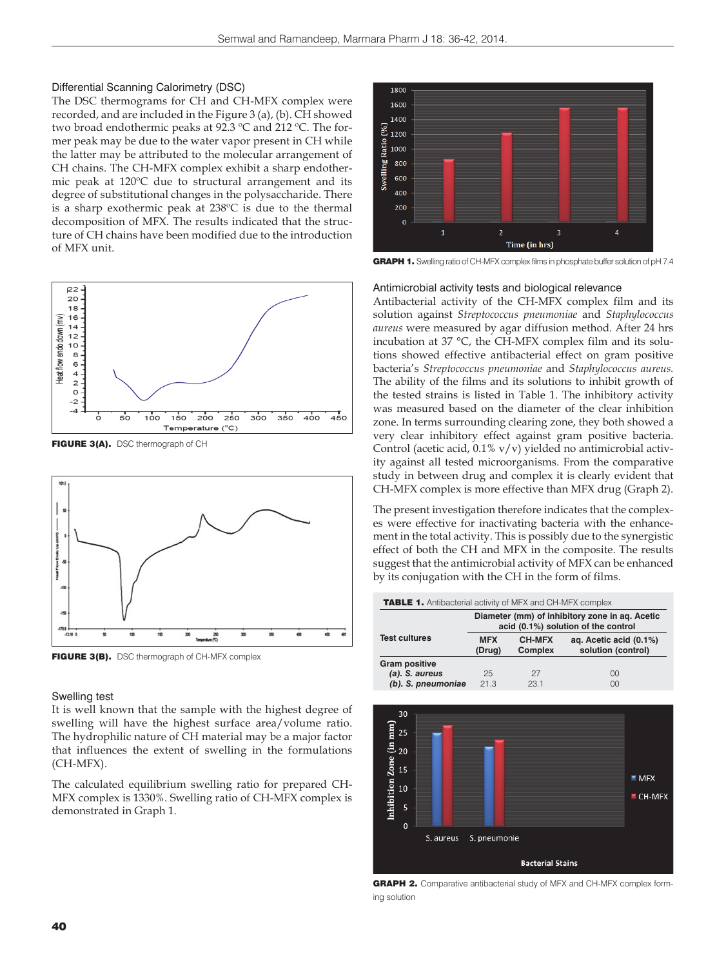## Differential Scanning Calorimetry (DSC)

The DSC thermograms for CH and CH-MFX complex were recorded, and are included in the Figure 3 (a), (b). CH showed two broad endothermic peaks at 92.3 ºC and 212 ºC. The former peak may be due to the water vapor present in CH while the latter may be attributed to the molecular arrangement of CH chains. The CH-MFX complex exhibit a sharp endothermic peak at 120ºC due to structural arrangement and its degree of substitutional changes in the polysaccharide. There is a sharp exothermic peak at 238ºC is due to the thermal decomposition of MFX. The results indicated that the structure of CH chains have been modified due to the introduction of MFX unit.



FIGURE 3(A). DSC thermograph of CH



FIGURE 3(B). DSC thermograph of CH-MFX complex

## Swelling test

It is well known that the sample with the highest degree of swelling will have the highest surface area/volume ratio. The hydrophilic nature of CH material may be a major factor that influences the extent of swelling in the formulations (CH-MFX).

The calculated equilibrium swelling ratio for prepared CH-MFX complex is 1330%. Swelling ratio of CH-MFX complex is demonstrated in Graph 1.



**GRAPH 1.** Swelling ratio of CH-MFX complex films in phosphate buffer solution of pH 7.4

#### Antimicrobial activity tests and biological relevance

Antibacterial activity of the CH-MFX complex film and its solution against *Streptococcus pneumoniae* and *Staphylococcus aureus* were measured by agar diffusion method. After 24 hrs incubation at 37 °C, the CH-MFX complex film and its solutions showed effective antibacterial effect on gram positive bacteria's *Streptococcus pneumoniae* and *Staphylococcus aureus.* The ability of the films and its solutions to inhibit growth of the tested strains is listed in Table 1. The inhibitory activity was measured based on the diameter of the clear inhibition zone. In terms surrounding clearing zone, they both showed a very clear inhibitory effect against gram positive bacteria. Control (acetic acid, 0.1% v/v) yielded no antimicrobial activity against all tested microorganisms. From the comparative study in between drug and complex it is clearly evident that CH-MFX complex is more effective than MFX drug (Graph 2).

The present investigation therefore indicates that the complexes were effective for inactivating bacteria with the enhancement in the total activity. This is possibly due to the synergistic effect of both the CH and MFX in the composite. The results suggest that the antimicrobial activity of MFX can be enhanced by its conjugation with the CH in the form of films.



GRAPH 2. Comparative antibacterial study of MFX and CH-MFX complex forming solution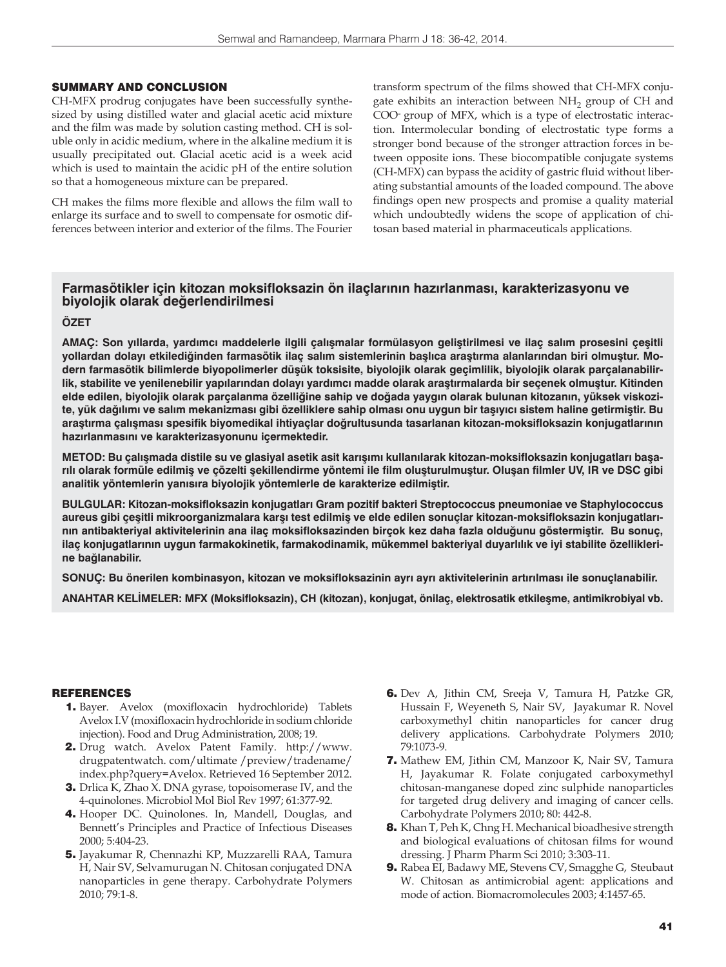## SUMMARY AND CONCLUSION

CH-MFX prodrug conjugates have been successfully synthesized by using distilled water and glacial acetic acid mixture and the film was made by solution casting method. CH is soluble only in acidic medium, where in the alkaline medium it is usually precipitated out. Glacial acetic acid is a week acid which is used to maintain the acidic pH of the entire solution so that a homogeneous mixture can be prepared.

CH makes the films more flexible and allows the film wall to enlarge its surface and to swell to compensate for osmotic differences between interior and exterior of the films. The Fourier

transform spectrum of the films showed that CH-MFX conjugate exhibits an interaction between  $NH<sub>2</sub>$  group of CH and COO- group of MFX, which is a type of electrostatic interaction. Intermolecular bonding of electrostatic type forms a stronger bond because of the stronger attraction forces in between opposite ions. These biocompatible conjugate systems (CH-MFX) can bypass the acidity of gastric fluid without liberating substantial amounts of the loaded compound. The above findings open new prospects and promise a quality material which undoubtedly widens the scope of application of chitosan based material in pharmaceuticals applications.

# **Farmasötikler için kitozan moksifloksazin ön ilaçlarının hazırlanması, karakterizasyonu ve biyolojik olarak değerlendirilmesi**

# **ÖZET**

**AMAÇ: Son yıllarda, yardımcı maddelerle ilgili çalışmalar formülasyon geliştirilmesi ve ilaç salım prosesini çeşitli yollardan dolayı etkilediğinden farmasötik ilaç salım sistemlerinin başlıca araştırma alanlarından biri olmuştur. Modern farmasötik bilimlerde biyopolimerler düşük toksisite, biyolojik olarak geçimlilik, biyolojik olarak parçalanabilirlik, stabilite ve yenilenebilir yapılarından dolayı yardımcı madde olarak araştırmalarda bir seçenek olmuştur. Kitinden elde edilen, biyolojik olarak parçalanma özelliğine sahip ve doğada yaygın olarak bulunan kitozanın, yüksek viskozite, yük dağılımı ve salım mekanizması gibi özelliklere sahip olması onu uygun bir taşıyıcı sistem haline getirmiştir. Bu araştırma çalışması spesifik biyomedikal ihtiyaçlar doğrultusunda tasarlanan kitozan-moksifloksazin konjugatlarının hazırlanmasını ve karakterizasyonunu içermektedir.** 

**METOD: Bu çalışmada distile su ve glasiyal asetik asit karışımı kullanılarak kitozan-moksifloksazin konjugatları başarılı olarak formüle edilmiş ve çözelti şekillendirme yöntemi ile film oluşturulmuştur. Oluşan filmler UV, IR ve DSC gibi analitik yöntemlerin yanısıra biyolojik yöntemlerle de karakterize edilmiştir.** 

**BULGULAR: Kitozan-moksifloksazin konjugatları Gram pozitif bakteri Streptococcus pneumoniae ve Staphylococcus aureus gibi çeşitli mikroorganizmalara karşı test edilmiş ve elde edilen sonuçlar kitozan-moksifloksazin konjugatlarının antibakteriyal aktivitelerinin ana ilaç moksifloksazinden birçok kez daha fazla olduğunu göstermiştir. Bu sonuç, ilaç konjugatlarının uygun farmakokinetik, farmakodinamik, mükemmel bakteriyal duyarlılık ve iyi stabilite özelliklerine bağlanabilir.** 

**SONUÇ: Bu önerilen kombinasyon, kitozan ve moksifloksazinin ayrı ayrı aktivitelerinin artırılması ile sonuçlanabilir.** 

**ANAHTAR KELİMELER: MFX (Moksifloksazin), CH (kitozan), konjugat, önilaç, elektrosatik etkileşme, antimikrobiyal vb.**

## REFERENCES

- 1. Bayer. Avelox (moxifloxacin hydrochloride) Tablets Avelox I.V (moxifloxacin hydrochloride in sodium chloride injection). Food and Drug Administration, 2008; 19.
- 2. Drug watch. Avelox Patent Family. http://www. drugpatentwatch. com/ultimate /preview/tradename/ index.php?query=Avelox. Retrieved 16 September 2012.
- 3. Drlica K, Zhao X. DNA gyrase, topoisomerase IV, and the 4-quinolones. Microbiol Mol Biol Rev 1997; 61:377-92.
- 4. Hooper DC. Quinolones. In, Mandell, Douglas, and Bennett's Principles and Practice of Infectious Diseases 2000; 5:404-23.
- 5. Jayakumar R, Chennazhi KP, Muzzarelli RAA, Tamura H, Nair SV, Selvamurugan N. Chitosan conjugated DNA nanoparticles in gene therapy. Carbohydrate Polymers 2010; 79:1-8.
- 6. Dev A, Jithin CM, Sreeja V, Tamura H, Patzke GR, Hussain F, Weyeneth S, Nair SV, Jayakumar R. Novel carboxymethyl chitin nanoparticles for cancer drug delivery applications. Carbohydrate Polymers 2010; 79:1073-9.
- 7. Mathew EM, Jithin CM, Manzoor K, Nair SV, Tamura H, Jayakumar R. Folate conjugated carboxymethyl chitosan-manganese doped zinc sulphide nanoparticles for targeted drug delivery and imaging of cancer cells. Carbohydrate Polymers 2010; 80: 442-8.
- 8. Khan T, Peh K, Chng H. Mechanical bioadhesive strength and biological evaluations of chitosan films for wound dressing. J Pharm Pharm Sci 2010; 3:303-11.
- 9. Rabea EI, Badawy ME, Stevens CV, Smagghe G, Steubaut W. Chitosan as antimicrobial agent: applications and mode of action. Biomacromolecules 2003; 4:1457-65.